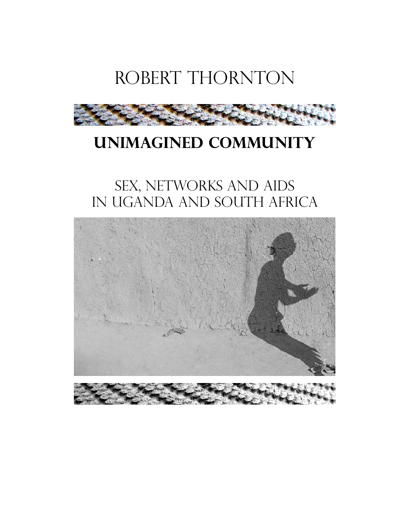



# **Unimagined Community**

# SEX, NETWORKS AND AIDS in Uganda and South Africa

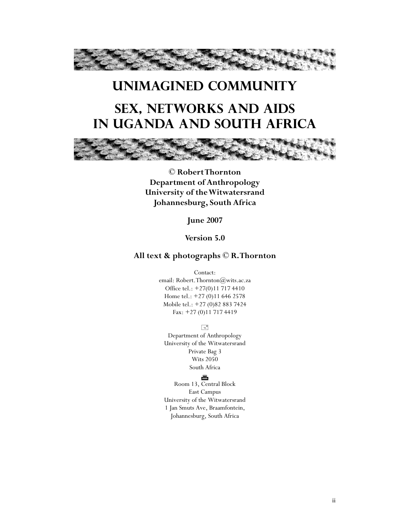

# **Unimagined Community Sex, Networks and AIDS In Uganda and South Africa**



**© Robert Thornton Department of Anthropology University of the Witwatersrand Johannesburg, South Africa** 

**June 2007** 

**Version 5.0** 

#### **All text & photographs © R. Thornton**

Contact:

email: Robert.Thornton@wits.ac.za Office tel.: +27(0)11 717 4410 Home tel.: +27 (0)11 646 2578 Mobile tel.: +27 (0)82 883 7424 Fax: +27 (0)11 717 4419

 $\equiv$ 

Department of Anthropology University of the Witwatersrand Private Bag 3 Wits 2050 South Africa

#### æ

Room 13, Central Block East Campus University of the Witwatersrand 1 Jan Smuts Ave, Braamfontein, Johannesburg, South Africa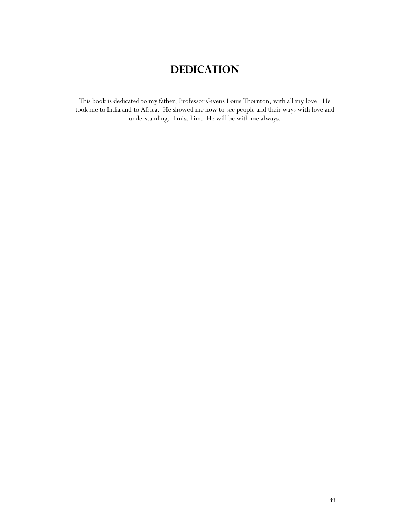## **Dedication**

This book is dedicated to my father, Professor Givens Louis Thornton, with all my love. He took me to India and to Africa. He showed me how to see people and their ways with love and understanding. I miss him. He will be with me always.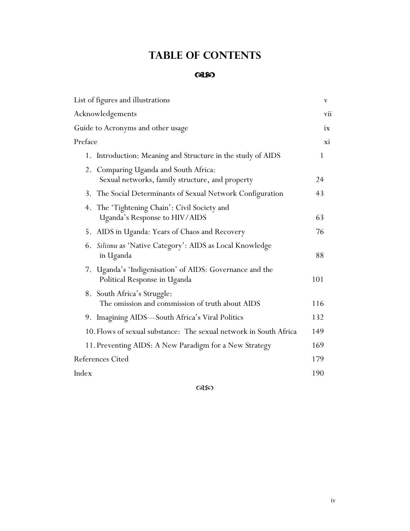## **Table of Contents**

### **GREO**

| List of figures and illustrations                                                           | V   |
|---------------------------------------------------------------------------------------------|-----|
| Acknowledgements                                                                            | vii |
| Guide to Acronyms and other usage                                                           | ix  |
| Preface                                                                                     | Хĺ  |
| Introduction: Meaning and Structure in the study of AIDS<br>1.                              | 1   |
| Comparing Uganda and South Africa:<br>2.<br>Sexual networks, family structure, and property | 24  |
| 3. The Social Determinants of Sexual Network Configuration                                  | 43  |
| The 'Tightening Chain': Civil Society and<br>4.<br>Uganda's Response to HIV/AIDS            | 63  |
| 5. AIDS in Uganda: Years of Chaos and Recovery                                              | 76  |
| Siliimu as 'Native Category': AIDS as Local Knowledge<br>6.<br>in Uganda                    | 88  |
| Uganda's 'Indigenisation' of AIDS: Governance and the<br>7.<br>Political Response in Uganda | 101 |
| South Africa's Struggle:<br>8.<br>The omission and commission of truth about AIDS           | 116 |
| 9. Imagining AIDS-South Africa's Viral Politics                                             | 132 |
| 10. Flows of sexual substance: The sexual network in South Africa                           | 149 |
| 11. Preventing AIDS: A New Paradigm for a New Strategy                                      | 169 |
| <b>References Cited</b>                                                                     | 179 |
| Index                                                                                       | 190 |
|                                                                                             |     |

 $\alpha$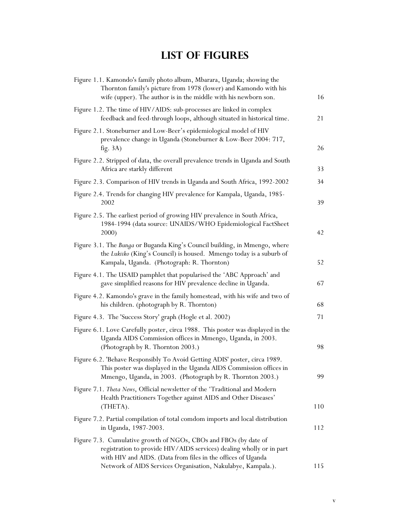## **List of Figures**

| Figure 1.1. Kamondo's family photo album, Mbarara, Uganda; showing the<br>Thornton family's picture from 1978 (lower) and Kamondo with his<br>wife (upper). The author is in the middle with his newborn son.  | 16  |
|----------------------------------------------------------------------------------------------------------------------------------------------------------------------------------------------------------------|-----|
| Figure 1.2. The time of HIV/AIDS: sub-processes are linked in complex<br>feedback and feed-through loops, although situated in historical time.                                                                | 21  |
| Figure 2.1. Stoneburner and Low-Beer's epidemiological model of HIV<br>prevalence change in Uganda (Stoneburner & Low-Beer 2004: 717,<br>fig. $3A$ )                                                           | 26  |
| Figure 2.2. Stripped of data, the overall prevalence trends in Uganda and South<br>Africa are starkly different                                                                                                | 33  |
| Figure 2.3. Comparison of HIV trends in Uganda and South Africa, 1992-2002                                                                                                                                     | 34  |
| Figure 2.4. Trends for changing HIV prevalence for Kampala, Uganda, 1985-<br>2002                                                                                                                              | 39  |
| Figure 2.5. The earliest period of growing HIV prevalence in South Africa,<br>1984-1994 (data source: UNAIDS/WHO Epidemiological FactSheet<br>2000)                                                            | 42  |
| Figure 3.1. The Bunga or Buganda King's Council building, in Mmengo, where<br>the Lukiiko (King's Council) is housed. Mmengo today is a suburb of<br>Kampala, Uganda. (Photograph: R. Thornton)                | 52  |
| Figure 4.1. The USAID pamphlet that popularised the 'ABC Approach' and<br>gave simplified reasons for HIV prevalence decline in Uganda.                                                                        | 67  |
| Figure 4.2. Kamondo's grave in the family homestead, with his wife and two of<br>his children. (photograph by R. Thornton)                                                                                     | 68  |
| Figure 4.3. The 'Success Story' graph (Hogle et al. 2002)                                                                                                                                                      | 71  |
| Figure 6.1. Love Carefully poster, circa 1988. This poster was displayed in the<br>Uganda AIDS Commission offices in Mmengo, Uganda, in 2003.<br>(Photograph by R. Thornton 2003.)                             | 98  |
| Figure 6.2. 'Behave Responsibly To Avoid Getting ADIS' poster, circa 1989.<br>This poster was displayed in the Uganda AIDS Commission offices in<br>Mmengo, Uganda, in 2003. (Photograph by R. Thornton 2003.) | 99  |
| Figure 7.1. Theta News, Official newsletter of the 'Traditional and Modern<br>Health Practitioners Together against AIDS and Other Diseases'<br>(THETA).                                                       | 110 |
| Figure 7.2. Partial compilation of total comdom imports and local distribution<br>in Uganda, 1987-2003.                                                                                                        | 112 |
| Figure 7.3. Cumulative growth of NGOs, CBOs and FBOs (by date of<br>registration to provide HIV/AIDS services) dealing wholly or in part<br>with HIV and AIDS. (Data from files in the offices of Uganda       |     |
| Network of AIDS Services Organisation, Nakulabye, Kampala.).                                                                                                                                                   | 115 |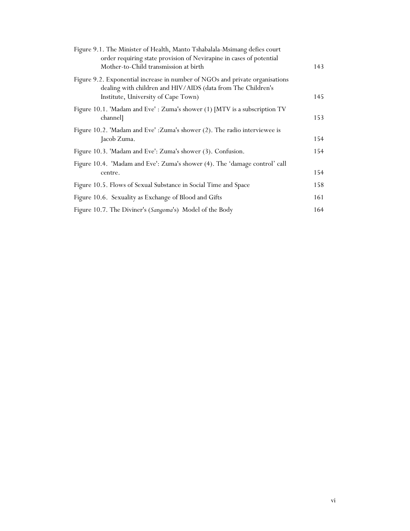| 143 |
|-----|
| 145 |
| 153 |
| 154 |
| 154 |
| 154 |
| 158 |
| 161 |
| 164 |
|     |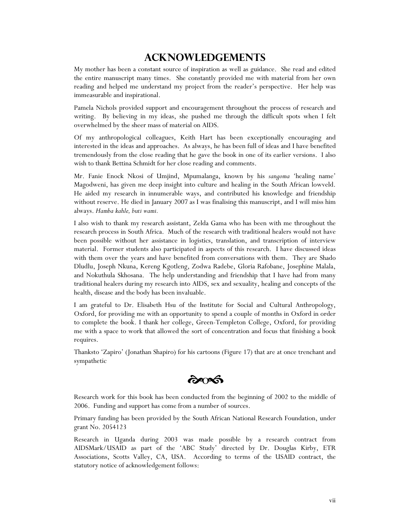### **Acknowledgements**

My mother has been a constant source of inspiration as well as guidance. She read and edited the entire manuscript many times. She constantly provided me with material from her own reading and helped me understand my project from the reader's perspective. Her help was immeasurable and inspirational.

Pamela Nichols provided support and encouragement throughout the process of research and writing. By believing in my ideas, she pushed me through the difficult spots when I felt overwhelmed by the sheer mass of material on AIDS.

Of my anthropological colleagues, Keith Hart has been exceptionally encouraging and interested in the ideas and approaches. As always, he has been full of ideas and I have benefited tremendously from the close reading that he gave the book in one of its earlier versions. I also wish to thank Bettina Schmidt for her close reading and comments.

Mr. Fanie Enock Nkosi of Umjind, Mpumalanga, known by his *sangoma* 'healing name' Magodweni, has given me deep insight into culture and healing in the South African lowveld. He aided my research in innumerable ways, and contributed his knowledge and friendship without reserve. He died in January 2007 as I was finalising this manuscript, and I will miss him always. *Hamba kahle, buti wami.*

I also wish to thank my research assistant, Zelda Gama who has been with me throughout the research process in South Africa. Much of the research with traditional healers would not have been possible without her assistance in logistics, translation, and transcription of interview material. Former students also participated in aspects of this research. I have discussed ideas with them over the years and have benefited from conversations with them. They are Shado Dludlu, Joseph Nkuna, Kereng Kgotleng, Zodwa Radebe, Gloria Rafobane, Josephine Malala, and Nokuthula Skhosana. The help understanding and friendship that I have had from many traditional healers during my research into AIDS, sex and sexuality, healing and concepts of the health, disease and the body has been invaluable.

I am grateful to Dr. Elisabeth Hsu of the Institute for Social and Cultural Anthropology, Oxford, for providing me with an opportunity to spend a couple of months in Oxford in order to complete the book. I thank her college, Green-Templeton College, Oxford, for providing me with a space to work that allowed the sort of concentration and focus that finishing a book requires.

Thanksto 'Zapiro' (Jonathan Shapiro) for his cartoons (Figure 17) that are at once trenchant and sympathetic

 $\partial \infty$ 

Research work for this book has been conducted from the beginning of 2002 to the middle of 2006. Funding and support has come from a number of sources.

Primary funding has been provided by the South African National Research Foundation, under grant No. 2054123

Research in Uganda during 2003 was made possible by a research contract from AIDSMark/USAID as part of the 'ABC Study' directed by Dr. Douglas Kirby, ETR Associations, Scotts Valley, CA, USA. According to terms of the USAID contract, the statutory notice of acknowledgement follows: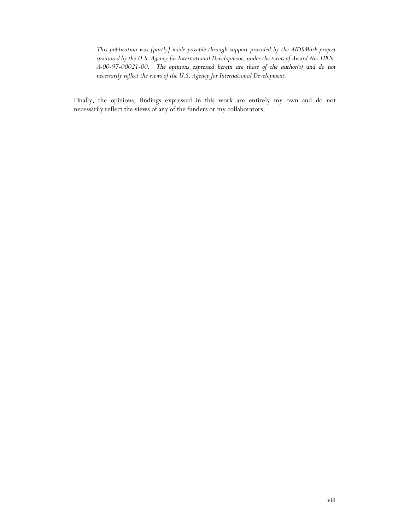*This publication was [partly] made possible through support provided by the AIDSMark project sponsored by the U.S. Agency for International Development, under the terms of Award No. HRN-A-00-97-00021-00. The opinions expressed herein are those of the author(s) and do not necessarily reflect the views of the U.S. Agency for International Development.* 

Finally, the opinions, findings expressed in this work are entirely my own and do not necessarily reflect the views of any of the funders or my collaborators.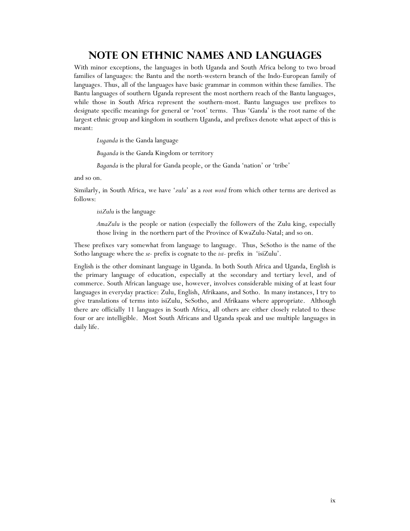### **Note on Ethnic names and languages**

With minor exceptions, the languages in both Uganda and South Africa belong to two broad families of languages: the Bantu and the north-western branch of the Indo-European family of languages. Thus, all of the languages have basic grammar in common within these families. The Bantu languages of southern Uganda represent the most northern reach of the Bantu languages, while those in South Africa represent the southern-most. Bantu languages use prefixes to designate specific meanings for general or 'root' terms. Thus 'Ganda' is the root name of the largest ethnic group and kingdom in southern Uganda, and prefixes denote what aspect of this is meant:

*Luganda* is the Ganda language

*Buganda* is the Ganda Kingdom or territory

*Baganda* is the plural for Ganda people, or the Ganda 'nation' or 'tribe'

and so on.

Similarly, in South Africa, we have '*zulu*' as a *root word* from which other terms are derived as follows:

*isiZulu* is the language

*AmaZulu* is the people or nation (especially the followers of the Zulu king, especially those living in the northern part of the Province of KwaZulu-Natal; and so on.

These prefixes vary somewhat from language to language. Thus, SeSotho is the name of the Sotho language where the *se*- prefix is cognate to the *isi-* prefix in 'isiZulu'.

English is the other dominant language in Uganda. In both South Africa and Uganda, English is the primary language of education, especially at the secondary and tertiary level, and of commerce. South African language use, however, involves considerable mixing of at least four languages in everyday practice: Zulu, English, Afrikaans, and Sotho. In many instances, I try to give translations of terms into isiZulu, SeSotho, and Afrikaans where appropriate. Although there are officially 11 languages in South Africa, all others are either closely related to these four or are intelligible. Most South Africans and Uganda speak and use multiple languages in daily life.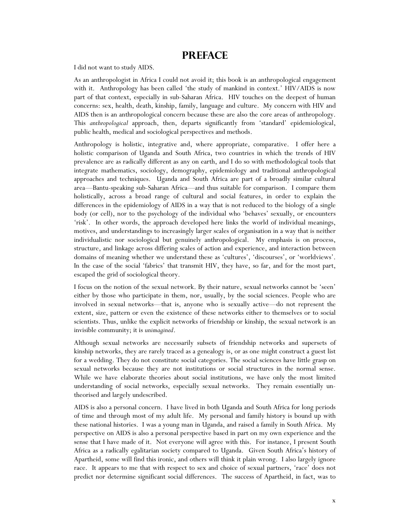### **Preface**

I did not want to study AIDS.

As an anthropologist in Africa I could not avoid it; this book is an anthropological engagement with it. Anthropology has been called 'the study of mankind in context.' HIV/AIDS is now part of that context, especially in sub-Saharan Africa. HIV touches on the deepest of human concerns: sex, health, death, kinship, family, language and culture. My concern with HIV and AIDS then is an anthropological concern because these are also the core areas of anthropology. This *anthropological* approach, then, departs significantly from 'standard' epidemiological, public health, medical and sociological perspectives and methods.

Anthropology is holistic, integrative and, where appropriate, comparative. I offer here a holistic comparison of Uganda and South Africa, two countries in which the trends of HIV prevalence are as radically different as any on earth, and I do so with methodological tools that integrate mathematics, sociology, demography, epidemiology and traditional anthropological approaches and techniques. Uganda and South Africa are part of a broadly similar cultural area—Bantu-speaking sub-Saharan Africa—and thus suitable for comparison. I compare them holistically, across a broad range of cultural and social features, in order to explain the differences in the epidemiology of AIDS in a way that is not reduced to the biology of a single body (or cell), nor to the psychology of the individual who 'behaves' sexually, or encounters 'risk'. In other words, the approach developed here links the world of individual meanings, motives, and understandings to increasingly larger scales of organisation in a way that is neither individualistic nor sociological but genuinely anthropological. My emphasis is on process, structure, and linkage across differing scales of action and experience, and interaction between domains of meaning whether we understand these as 'cultures', 'discourses', or 'worldviews'. In the case of the social 'fabrics' that transmit HIV, they have, so far, and for the most part, escaped the grid of sociological theory.

I focus on the notion of the sexual network. By their nature, sexual networks cannot be 'seen' either by those who participate in them, nor, usually, by the social sciences. People who are involved in sexual networks—that is, anyone who is sexually active—do not represent the extent, size, pattern or even the existence of these networks either to themselves or to social scientists. Thus, unlike the explicit networks of friendship or kinship, the sexual network is an invisible community; it is *unimagined*.

Although sexual networks are necessarily subsets of friendship networks and supersets of kinship networks, they are rarely traced as a genealogy is, or as one might construct a guest list for a wedding. They do not constitute social categories. The social sciences have little grasp on sexual networks because they are not institutions or social structures in the normal sense. While we have elaborate theories about social institutions, we have only the most limited understanding of social networks, especially sexual networks. They remain essentially untheorised and largely undescribed.

AIDS is also a personal concern. I have lived in both Uganda and South Africa for long periods of time and through most of my adult life. My personal and family history is bound up with these national histories. I was a young man in Uganda, and raised a family in South Africa. My perspective on AIDS is also a personal perspective based in part on my own experience and the sense that I have made of it. Not everyone will agree with this. For instance, I present South Africa as a radically egalitarian society compared to Uganda. Given South Africa's history of Apartheid, some will find this ironic, and others will think it plain wrong. I also largely ignore race. It appears to me that with respect to sex and choice of sexual partners, 'race' does not predict nor determine significant social differences. The success of Apartheid, in fact, was to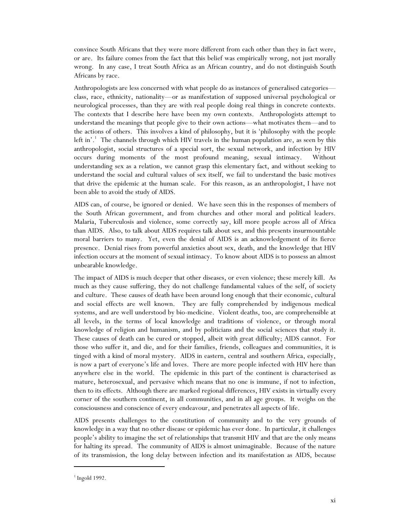convince South Africans that they were more different from each other than they in fact were, or are. Its failure comes from the fact that this belief was empirically wrong, not just morally wrong. In any case, I treat South Africa as an African country, and do not distinguish South Africans by race.

Anthropologists are less concerned with what people do as instances of generalised categories class, race, ethnicity, nationality—or as manifestation of supposed universal psychological or neurological processes, than they are with real people doing real things in concrete contexts. The contexts that I describe here have been my own contexts. Anthropologists attempt to understand the meanings that people give to their own actions—what motivates them—and to the actions of others. This involves a kind of philosophy, but it is 'philosophy with the people left in'.<sup>1</sup> The channels through which HIV travels in the human population are, as seen by this anthropologist, social structures of a special sort, the sexual network, and infection by HIV occurs during moments of the most profound meaning, sexual intimacy. Without understanding sex as a relation, we cannot grasp this elementary fact, and without seeking to understand the social and cultural values of sex itself, we fail to understand the basic motives that drive the epidemic at the human scale. For this reason, as an anthropologist, I have not been able to avoid the study of AIDS.

AIDS can, of course, be ignored or denied. We have seen this in the responses of members of the South African government, and from churches and other moral and political leaders. Malaria, Tuberculosis and violence, some correctly say, kill more people across all of Africa than AIDS. Also, to talk about AIDS requires talk about sex, and this presents insurmountable moral barriers to many. Yet, even the denial of AIDS is an acknowledgement of its fierce presence. Denial rises from powerful anxieties about sex, death, and the knowledge that HIV infection occurs at the moment of sexual intimacy. To know about AIDS is to possess an almost unbearable knowledge.

The impact of AIDS is much deeper that other diseases, or even violence; these merely kill. As much as they cause suffering, they do not challenge fundamental values of the self, of society and culture. These causes of death have been around long enough that their economic, cultural and social effects are well known. They are fully comprehended by indigenous medical systems, and are well understood by bio-medicine. Violent deaths, too, are comprehensible at all levels, in the terms of local knowledge and traditions of violence, or through moral knowledge of religion and humanism, and by politicians and the social sciences that study it. These causes of death can be cured or stopped, albeit with great difficulty; AIDS cannot. For those who suffer it, and die, and for their families, friends, colleagues and communities, it is tinged with a kind of moral mystery. AIDS in eastern, central and southern Africa, especially, is now a part of everyone's life and loves. There are more people infected with HIV here than anywhere else in the world. The epidemic in this part of the continent is characterised as mature, heterosexual, and pervasive which means that no one is immune, if not to infection, then to its effects. Although there are marked regional differences, HIV exists in virtually every corner of the southern continent, in all communities, and in all age groups. It weighs on the consciousness and conscience of every endeavour, and penetrates all aspects of life.

AIDS presents challenges to the constitution of community and to the very grounds of knowledge in a way that no other disease or epidemic has ever done. In particular, it challenges people's ability to imagine the set of relationships that transmit HIV and that are the only means for halting its spread. The community of AIDS is almost unimaginable. Because of the nature of its transmission, the long delay between infection and its manifestation as AIDS, because

 $\overline{a}$ 

 $<sup>1</sup>$  Ingold 1992.</sup>